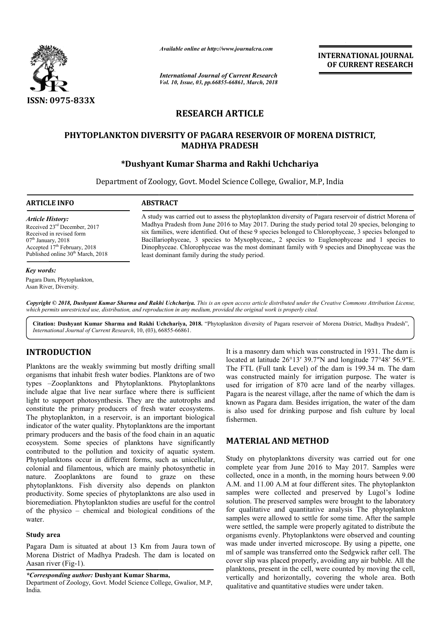

*Available online at http://www.journalcra.com*

*International Journal of Current Research Vol. 10, Issue, 03, pp.66855-66861, March, 2018*

**INTERNATIONAL JOURNAL OF CURRENT RESEARCH**

# **RESEARCH ARTICLE**

# PHYTOPLANKTON DIVERSITY OF PAGARA RESERVOIR OF MORENA DISTRICT,<br>MADHYA PRADESH<br>Dushyant Kumar Sharma and Rakhi Uchchariya\* **MADHYA PRADESH**

# **\*Dushyant Kumar Sharma and Rakhi Uchchariya Dushyant**

Department of Zoology, Govt. Model Science College, Gwalior, M.P, India

**ARTICLE INFO ABSTRACT**

*Article History:*

A study was carried out to assess the phytoplankton diversity of Pagara reservoir of district Morena of Madhya Pradesh from June 2016 to May 2017. During the study period total 20 species, belonging to six families, were identified. Out of these 9 species belonged to Chlorophyceae, 3 species belonged Bacillariophyceae, 3 species to Myxophyceae,, 2 species to Euglenophyceae and 1 species to Bacillariophyceae, 3 species to Myxophyceae,, 2 species to Euglenophyceae and 1 species to Dinophyceae. Chlorophyceae was the most dominant family with 9 species and Dinophyceae was the least dominant family during the study period. ess the phytoplankton diversity of Pagara reservoir of district Morena of 116 to May 2017. During the study period total 20 species, belonging to Dut of these 9 species belonged to Chlorophyceae, 3 species belonged to

#### *Key words:*

Pagara Dam, Phytoplankton, Asan River, Diversity.

Received 23rd December, 2017 Received in revised form  $07<sup>th</sup>$  January, 2018 Accepted  $17<sup>th</sup>$  February, 2018 Published online 30<sup>th</sup> March, 2018

Copyright © 2018, Dushyant Kumar Sharma and Rakhi Uchchariya. This is an open access article distributed under the Creative Commons Attribution License, which permits unrestricted use, distribution, and reproduction in any medium, provided the original work is properly cited.

Citation: Dushyant Kumar Sharma and Rakhi Uchchariya, 2018. "Phytoplankton diversity of Pagara reservoir of Morena District, Madhya Pradesh", *International Journal of Current Research*, 10, (03), 66855 66855-66861.

# **INTRODUCTION**

Planktons are the weakly swimming but mostly drifting small organisms that inhabit fresh water bodies. Planktons are of two types –Zooplanktons and Phytoplanktons s. Phytoplanktons include algae that live near surface where there is sufficient light to support photosynthesis. They are the autotrophs and constitute the primary producers of fresh water ecosystems. The phytoplankton, in a reservoir, is an important biological indicator of the water quality. Phytoplanktons are the important primary producers and the basis of the food chain in an aquatic ecosystem. Some species of planktons have significantly contributed to the pollution and toxicity of aquatic system. Phytoplanktons occur in different forms, such as unicellular, colonial and filamentous, which are mainly photosynthetic in nature. Zooplanktons are found to graze on these phytoplanktons. Fish diversity also depends on plankton productivity. Some species of phytoplanktons are also used in bioremediation. Phytoplankton studies are useful for the control of the physico – chemical and biological conditions of the water. nkton, in a reservoir, is an important biological<br>ne water quality. Phytoplanktons are the important<br>necers and the basis of the food chain in an aquatic<br>Some species of planktons have significantly<br>o the pollution and tox

## **Study area**

Pagara Dam is situated at about 13 Km from Jaura town of Morena District of Madhya Pradesh. The dam is located on Aasan river (Fig-1).

*\*Corresponding author:* **Dushyant Kumar Sharma,**

Department of Zoology, Govt. Model Science College, Gwalior, M.P, India.

It is a masonry dam which was constructed in 1931. The dam is located at latitude 26°13′ 39.7"N and longitude 77°48′ 56.9"E. The FTL (Full tank Level) of the dam is 199.34 m. The dam was constructed mainly for irrigation purpose. The water is used for irrigation of 870 acre land of the nearby villages. Pagara is the nearest village, after the name of which the dam is known as Pagara dam. Besides irrigation, the water of the dam is also used for drinking purpose and fish culture by local fishermen. wel) of the dam is 199.34 m. The dam<br>y for irrigation purpose. The water is<br>870 acre land of the nearby villages. the nearest village, after the name of which the dam is<br>Pagara dam. Besides irrigation, the water of the dam<br>sed for drinking purpose and fish culture by local<br>.<br>**EIAL AND METHOD**<br>phytoplanktons diversity was carried out f

# **MATERIAL AND METHOD**

Study on phytoplanktons diversity was carried out for one complete year from June 2016 to May 2017. collected, once in a month, in the morning hours between 9.00 A.M. and 11.00 A.M at four different sites. The phytoplankton samples were collected and preserved by Lugol's Iodine solution. The preserved samples were brought to the laboratory for qualitative and quantitative analysis The phytoplankton samples were allowed to settle for some time. After the sample were settled, the sample were properly agitated to distribute the organisms evenly. Phytoplanktons were observed and counting was made under inverted microscope. By using a pipette, one ml of sample was transferred onto the Sedgwick rafter cell. The organisms evenly. Phytoplanktons were observed and counting was made under inverted microscope. By using a pipette, one ml of sample was transferred onto the Sedgwick rafter cell. The cover slip was placed properly, avoidi planktons, present in the cell, were counted by moving the cell, vertically and horizontally, covering the whole area. Both qualitative and quantitative studies were under taken. a month, in the morning hours between 9.00<br>M at four different sites. The phytoplankton<br>llected and preserved by Lugol's Iodine tion. The preserved samples were brought to the laboratory qualitative and quantitative analysis The phytoplankton ples were allowed to settle for some time. After the sample  $\epsilon$  settled, the sample were properly agitated **EXERCTS (SET ASSOCITE ANTIFICATION ALL COURNALL FOR SERVANT PRESEARCH FOR CURRENT RESEARCH FOR CURRENT RESEARCH FOR SERVALUS (FOR ALL THE SERVALUS (FOR A CONDITIVET) TO THANGE (FOR A CONDITIVET) TO THE SERVALUS (FOR A CO**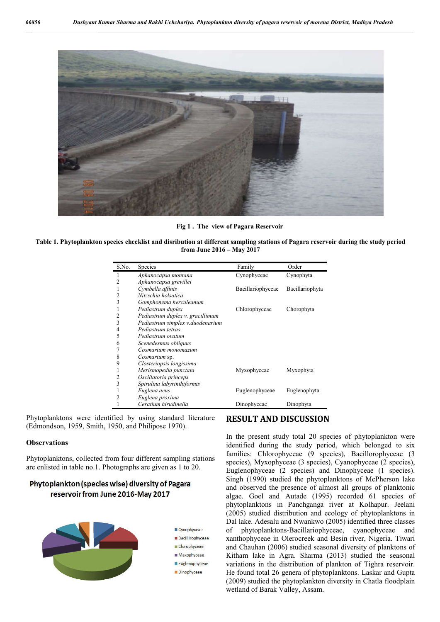

**Fig 1 . The view of Pagara Reservoir**

**Table 1. Phytoplankton species checklist and disribution at different sampling stations of Pagara reservoir during the study period from June 2016 – May 2017**

| S.No. | Species                          | Family            | Order           |
|-------|----------------------------------|-------------------|-----------------|
|       | Aphanocapsa montana              | Cynophyceae       | Cynophyta       |
| 2     | Aphanocapsa grevillei            |                   |                 |
| 1     | Cymbella affinis                 | Bacillariophyceae | Bacillariophyta |
| 2     | Nitzschia holsatica              |                   |                 |
| 3     | Gomphonema herculeanum           |                   |                 |
|       | Pediastrum duplex                | Chlorophyceae     | Chorophyta      |
| 2     | Pediastrum duplex v. gracillimum |                   |                 |
| 3     | Pediastrum simplex v.duodenarium |                   |                 |
| 4     | Pediastrum tetras                |                   |                 |
| 5     | Pediastrum ovatum                |                   |                 |
| 6     | Scenedesmus obliquus             |                   |                 |
|       | Cosmarium monomazum              |                   |                 |
| 8     | Cosmarium sp.                    |                   |                 |
| 9     | Closteriopsis longissima         |                   |                 |
| 1     | Merismopedia punctata            | Myxophyceae       | Myxophyta       |
| 2     | Oscillatoria princeps            |                   |                 |
| 3     | Spirulina labyrinthiformis       |                   |                 |
| 1     | Euglena acus                     | Euglenophyceae    | Euglenophyta    |
| 2     | Euglena proxima                  |                   |                 |
|       | Ceratium hirudinella             | Dinophyceae       | Dinophyta       |

Phytoplanktons were identified by using standard literature (Edmondson, 1959, Smith, 1950, and Philipose 1970).

#### **Observations**

Phytoplanktons, collected from four different sampling stations are enlisted in table no.1. Photographs are given as 1 to 20.

# Phytoplankton (species wise) diversity of Pagara reservoir from June 2016-May 2017



# **RESULT AND DISCUSSION**

In the present study total 20 species of phytoplankton were identified during the study period, which belonged to six families: Chlorophyceae (9 species), Bacillorophyceae (3 species), Myxophyceae (3 species), Cyanophyceae (2 species), Euglenophyceae (2 species) and Dinophyceae (1 species). Singh (1990) studied the phytoplanktons of McPherson lake and observed the presence of almost all groups of planktonic algae. Goel and Autade (1995) recorded 61 species of phytoplanktons in Panchganga river at Kolhapur. Jeelani (2005) studied distribution and ecology of phytoplanktons in Dal lake. Adesalu and Nwankwo (2005) identified three classes of phytoplanktons-Bacillariophyceae, cyanophyceae and xanthophyceae in Olerocreek and Besin river, Nigeria. Tiwari and Chauhan (2006) studied seasonal diversity of planktons of Kitham lake in Agra. Sharma (2013) studied the seasonal variations in the distribution of plankton of Tighra reservoir. He found total 26 genera of phytoplanktons. Laskar and Gupta (2009) studied the phytoplankton diversity in Chatla floodplain wetland of Barak Valley, Assam.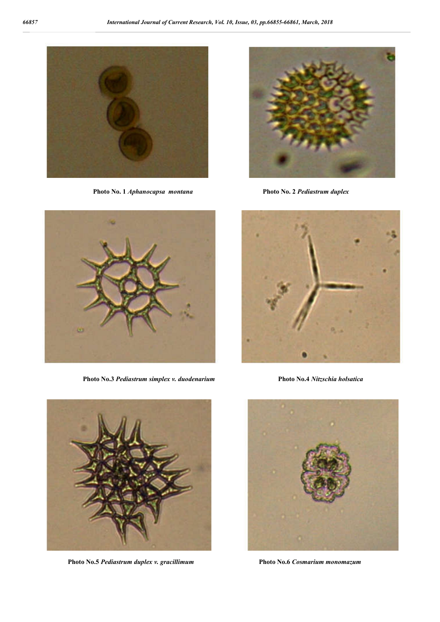

**Photo No. 1** *Aphanocapsa montana* **Photo No. 2** *Pediastrum duplex*





 **Photo No.3** *Pediastrum simplex v. duodenarium* **Photo No.4** *Nitzschia holsatica*





 **Photo No.5** *Pediastrum duplex v. gracillimum* **Photo No.6** *Cosmarium monomazum*

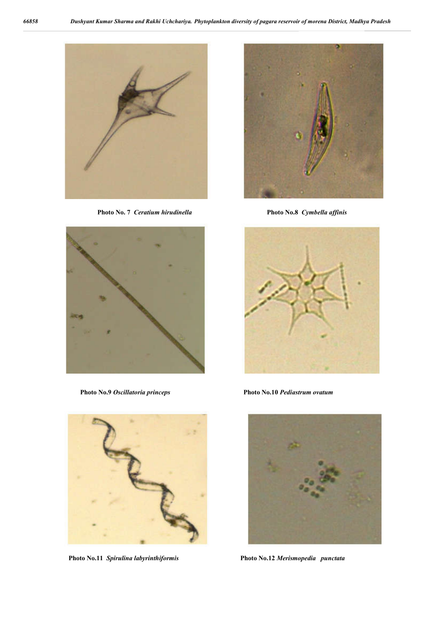

**Photo No. 7** *Ceratium hirudinella* **Photo No.8** *Cymbella affinis*





 **Photo No.11** *Spirulina labyrinthiformis* **Photo No.12** *Merismopedia punctata*





 **Photo No.9** *Oscillatoria princeps* **Photo No.10** *Pediastrum ovatum*

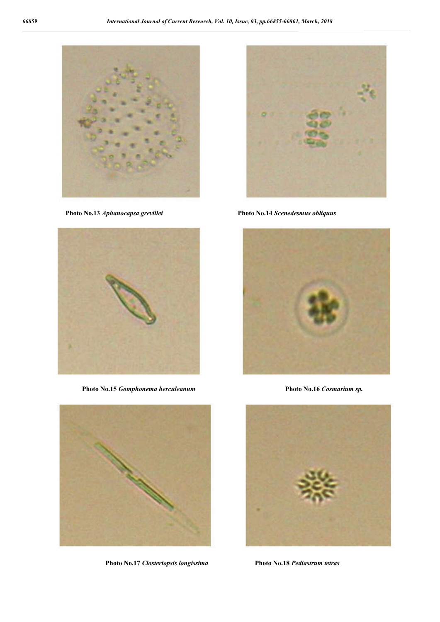

 **Photo No.13** *Aphanocapsa grevillei* **Photo No.14** *Scenedesmus obliquus*



**Photo No.15** *Gomphonema herculeanum* **Photo No.16** *Cosmarium sp.*



**Photo No.17** *Closteriopsis longissima* **Photo No.18** *Pediastrum tetras*





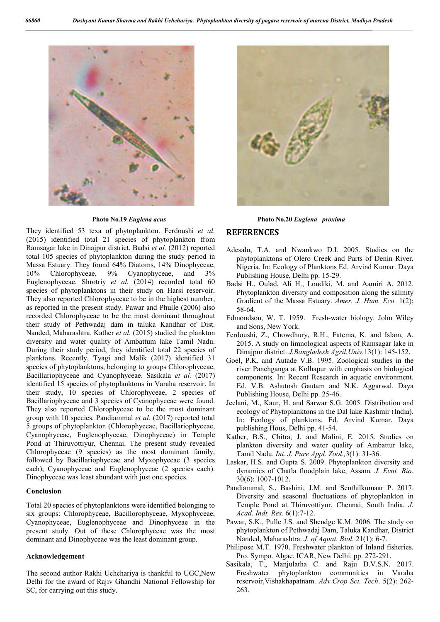

They identified 53 texa of phytoplankton. Ferdoushi *et al.*  (2015) identified total 21 species of phytoplankton from Ramsagar lake in Dinajpur district. Badsi *et al.* (2012) reported total 105 species of phytoplankton during the study period in Massa Estuary. They found 64% Diatoms, 14% Dinophyceae, 10% Chlorophyceae, 9% Cyanophyceae, and 3% Euglenophyceae. Shrotriy *et al.* (2014) recorded total 60 species of phytoplanktons in their study on Harsi reservoir. They also reported Chlorophyceae to be in the highest number, as reported in the present study. Pawar and Phulle (2006) also recorded Chlorophyceae to be the most dominant throughout their study of Pethwadaj dam in taluka Kandhar of Dist. Nanded, Maharashtra. Kather *et al.* (2015) studied the plankton diversity and water quality of Ambattum lake Tamil Nadu. During their study period, they identified total 22 species of planktons. Recently, Tyagi and Malik (2017) identified 31 species of phytoplanktons, belonging to groups Chlorophyceae, Bacillariophyceae and Cyanophyceae. Sasikala *et al.* (2017) identified 15 species of phytoplanktons in Varaha reservoir. In their study, 10 species of Chlorophyceae, 2 species of Bacillariophyceae and 3 species of Cyanophyceae were found. They also reported Chlorophyceae to be the most dominant group with 10 species. Pandiammal *et al.* (2017) reported total 5 groups of phytoplankton (Chlorophyceae, Bacillariophyceae, Cyanophyceae, Euglenophyceae, Dinophyceae) in Temple Pond at Thiruvottiyur, Chennai. The present study revealed Chlorophyceae (9 species) as the most dominant family, followed by Bacillariophyceae and Myxophyceae (3 species each); Cyanophyceae and Euglenophyceae (2 species each). Dinophyceae was least abundant with just one species.

## **Conclusion**

Total 20 species of phytoplanktons were identified belonging to six groups: Chlorophyceae, Bacillorophyceae, Myxophyceae, Cyanophyceae, Euglenophyceae and Dinophyceae in the present study. Out of these Chlorophyceae was the most dominant and Dinophyceae was the least dominant group.

#### **Acknowledgement**

The second author Rakhi Uchchariya is thankful to UGC,New Delhi for the award of Rajiv Ghandhi National Fellowship for SC, for carrying out this study.



**Photo No.19** *Euglena acus* **Photo No.20** *Euglena proxima*

## **REFERENCES**

- Adesalu, T.A. and Nwankwo D.I. 2005. Studies on the phytoplanktons of Olero Creek and Parts of Denin River, Nigeria. In: Ecology of Planktons Ed. Arvind Kumar. Daya Publishing House, Delhi pp. 15-29.
- Badsi H., Oulad, Ali H., Loudiki, M. and Aamiri A. 2012. Phytoplankton diversity and composition along the salinity Gradient of the Massa Estuary. *Amer. J. Hum. Eco.* 1(2): 58-64.
- Edmondson, W. T. 1959. Fresh-water biology. John Wiley and Sons, New York.
- Ferdoushi, Z., Chowdhury, R.H., Fatema, K. and Islam, A. 2015. A study on limnological aspects of Ramsagar lake in Dinajpur district. *J.Bangladesh Agril.Univ.*13(1): 145-152.
- Goel, P.K. and Autade V.B. 1995. Zoological studies in the river Panchganga at Kolhapur with emphasis on biological components. In: Recent Research in aquatic environment. Ed. V.B. Ashutosh Gautam and N.K. Aggarwal. Daya Publishing House, Delhi pp. 25-46.
- Jeelani, M., Kaur, H. and Sarwar S.G. 2005. Distribution and ecology of Phytoplanktons in the Dal lake Kashmir (India). In: Ecology of planktons. Ed. Arvind Kumar. Daya publishing Hous, Delhi pp. 41-54.
- Kather, B.S., Chitra, J. and Malini, E. 2015. Studies on plankton diversity and water quality of Ambattur lake, Tamil Nadu. *Int. J. Pure Appl. Zool.,*3(1): 31-36.
- Laskar, H.S. and Gupta S. 2009. Phytoplankton diversity and dynamics of Chatla floodplain lake, Assam. *J. Evnt. Bio.* 30(6): 1007-1012.
- Pandiammal, S., Bashini, J.M. and Senthilkumaar P. 2017. Diversity and seasonal fluctuations of phytoplankton in Temple Pond at Thiruvottiyur, Chennai, South India. *J. Acad. Indt. Res.* 6(1):7-12.
- Pawar, S.K., Pulle J.S. and Shendge K.M. 2006. The study on phytoplankton of Pethwadaj Dam, Taluka Kandhar, District Nanded, Maharashtra. *J. of Aquat. Biol.* 21(1): 6-7.
- Philipose M.T. 1970. Freshwater plankton of Inland fisheries. Pro. Sympo. Algae. ICAR, New Delhi. pp. 272-291.
- Sasikala, T., Manjulatha C. and Raju D.V.S.N. 2017. Freshwater phytoplankton communities in Varaha reservoir,Vishakhapatnam. *Adv.Crop Sci. Tech*. 5(2): 262- 263.